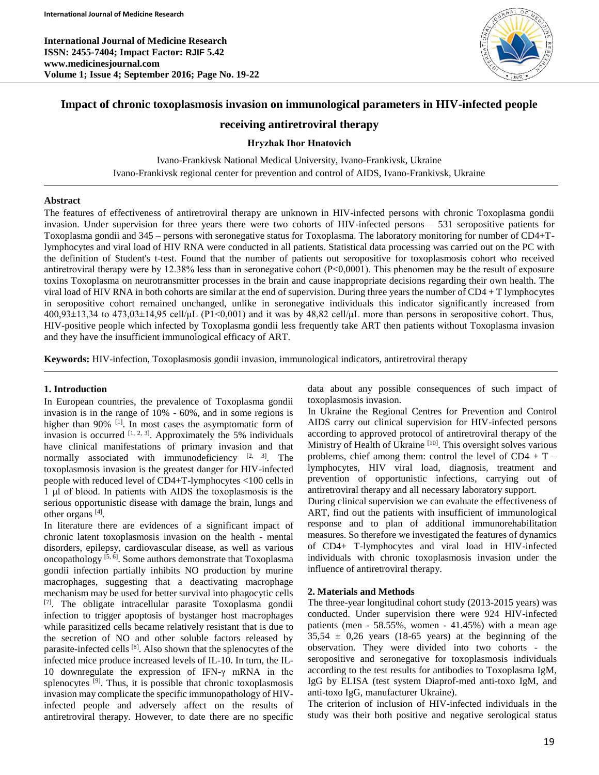**International Journal of Medicine Research ISSN: 2455-7404; Impact Factor: RJIF 5.42 www.medicinesjournal.com Volume 1; Issue 4; September 2016; Page No. 19-22**



# **Impact of chronic toxoplasmosis invasion on immunological parameters in HIV-infected people**

# **receiving antiretroviral therapy**

#### **Hryzhak Іhor Hnatovich**

Ivano-Frankivsk National Medical University, Ivano-Frankivsk, Ukraine Ivano-Frankivsk regional center for prevention and control of AIDS, Ivano-Frankivsk, Ukraine

#### **Abstract**

The features of effectiveness of antiretroviral therapy are unknown in HIV-infected persons with chronic Toxoplasma gondii invasion. Under supervision for three years there were two cohorts of HIV-infected persons – 531 seropositive patients for Toxoplasma gondii and 345 – persons with seronegative status for Toxoplasma. The laboratory monitoring for number of CD4+Tlymphocytes and viral load of HIV RNA were conducted in all patients. Statistical data processing was carried out on the PC with the definition of Student's t-test. Found that the number of patients out seropositive for toxoplasmosis cohort who received antiretroviral therapy were by 12.38% less than in seronegative cohort (P<0,0001). This phenomen may be the result of exposure toxins Toxoplasma on neurotransmitter processes in the brain and cause inappropriate decisions regarding their own health. The viral load of HIV RNA in both cohorts are similar at the end of supervision. During three years the number of  $CD4 + T$  lymphocytes in seropositive cohort remained unchanged, unlike in seronegative individuals this indicator significantly increased from  $400,93\pm13,34$  to  $473,03\pm14,95$  cell/μL (P1<0,001) and it was by  $48,82$  cell/μL more than persons in seropositive cohort. Thus, HIV-positive people which infected by Toxoplasma gondii less frequently take ART then patients without Toxoplasma invasion and they have the insufficient immunological efficacy of ART.

**Keywords:** НIV-infection, Toxoplasmosis gondii invasion, immunological indicators, antiretroviral therapy

#### **1. Introduction**

In European countries, the prevalence of Toxoplasma gondii invasion is in the range of 10% - 60%, and in some regions is higher than 90% <sup>[1]</sup>. In most cases the asymptomatic form of invasion is occurred  $[1, 2, 3]$ . Approximately the 5% individuals have clinical manifestations of primary invasion and that normally associated with immunodeficiency  $[2, 3]$ . The toxoplasmosis invasion is the greatest danger for HIV-infected people with reduced level of CD4+T-lymphocytes <100 cells in 1 μl of blood. In patients with AIDS the toxoplasmosis is the serious opportunistic disease with damage the brain, lungs and other organs<sup>[4]</sup>.

In literature there are evidences of a significant impact of chronic latent toxoplasmosis invasion on the health - mental disorders, epilepsy, cardiovascular disease, as well as various oncopathology  $[5, 6]$ . Some authors demonstrate that Toxoplasma gondii infection partially inhibits NO production by murine macrophages, suggesting that a deactivating macrophage mechanism may be used for better survival into phagocytic cells [7]. The obligate intracellular parasite Toxoplasma gondii infection to trigger apoptosis of bystanger host macrophages while parasitized cells became relatively resistant that is due to the secretion of NO and other soluble factors released by parasite-infected cells<sup>[8]</sup>. Also shown that the splenocytes of the infected mice produce increased levels of IL-10. In turn, the IL-10 downregulate the expression of IFN-γ mRNA in the splenocytes <sup>[9]</sup>. Thus, it is possible that chronic toxoplasmosis invasion may complicate the specific immunopathology of HIVinfected people and adversely affect on the results of antiretroviral therapy. However, to date there are no specific

data about any possible consequences of such impact of toxoplasmosis invasion.

In Ukraine the Regional Centres for Prevention and Control AIDS carry out clinical supervision for HIV-infected persons according to approved protocol of antiretroviral therapy of the Ministry of Health of Ukraine<sup>[10]</sup>. This oversight solves various problems, chief among them: control the level of  $CD4 + T$ lymphocytes, HIV viral load, diagnosis, treatment and prevention of opportunistic infections, carrying out of antiretroviral therapy and all necessary laboratory support.

During clinical supervision we can evaluate the effectiveness of ART, find out the patients with insufficient of immunological response and to plan of additional immunorehabilitation measures. So therefore we investigated the features of dynamics of CD4+ T-lymphocytes and viral load in HIV-infected individuals with chronic toxoplasmosis invasion under the influence of antiretroviral therapy.

## **2. Materials and Methods**

The three-year longitudinal cohort study (2013-2015 years) was conducted. Under supervision there were 924 HIV-infected patients (men - 58.55%, women - 41.45%) with a mean age  $35,54 \pm 0,26$  years (18-65 years) at the beginning of the observation. They were divided into two cohorts - the seropositive and seronegative for toxoplasmosis individuals according to the test results for antibodies to Toxoplasma IgM, IgG by ELISA (test system Diaprof-med anti-toxo IgM, and anti-toxo IgG, manufacturer Ukraine).

The criterion of inclusion of HIV-infected individuals in the study was their both positive and negative serological status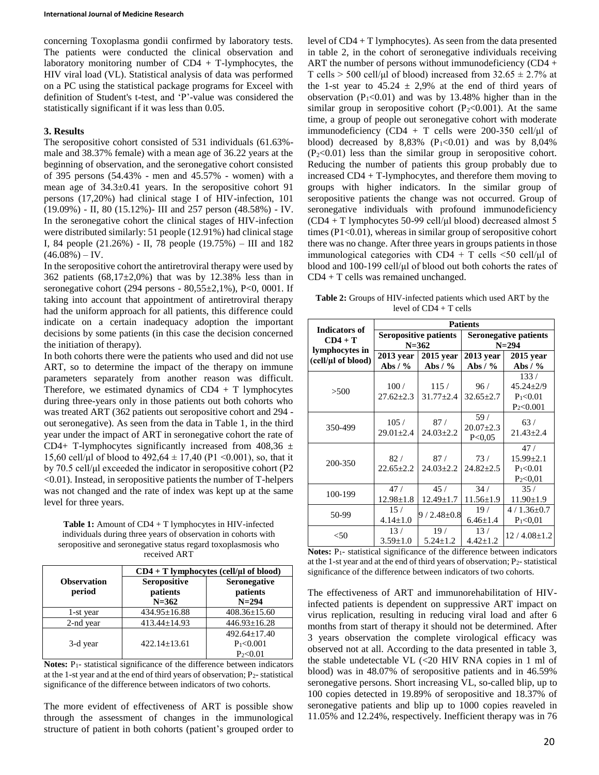concerning Toxoplasma gondii confirmed by laboratory tests. The patients were conducted the clinical observation and laboratory monitoring number of  $CD4 + T$ -lymphocytes, the HIV viral load (VL). Statistical analysis of data was performed on a PC using the statistical package programs for Exceel with definition of Student's t-test, and 'P'-value was considered the statistically significant if it was less than 0.05.

#### **3. Results**

The seropositive cohort consisted of 531 individuals (61.63% male and 38.37% female) with a mean age of 36.22 years at the beginning of observation, and the seronegative cohort consisted of 395 persons (54.43% - men and 45.57% - women) with a mean age of 34.3±0.41 years. In the seropositive cohort 91 persons (17,20%) had clinical stage I of HIV-infection, 101 (19.09%) - II, 80 (15.12%)- III and 257 person (48.58%) - IV. In the seronegative cohort the clinical stages of HIV-infection were distributed similarly: 51 people (12.91%) had clinical stage I, 84 people (21.26%) - II, 78 people (19.75%) – III and 182  $(46.08\%) - IV.$ 

In the seropositive cohort the antiretroviral therapy were used by 362 patients  $(68,17\pm2,0\%)$  that was by 12.38% less than in seronegative cohort (294 persons -  $80,55\pm2,1\%$ ), P<0, 0001. If taking into account that appointment of antiretroviral therapy had the uniform approach for all patients, this difference could indicate on a certain inadequacy adoption the important decisions by some patients (in this case the decision concerned the initiation of therapy).

In both cohorts there were the patients who used and did not use ART, so to determine the impact of the therapy on immune parameters separately from another reason was difficult. Therefore, we estimated dynamics of  $CD4 + T$  lymphocytes during three-years only in those patients out both cohorts who was treated ART (362 patients out seropositive cohort and 294 out seronegative). As seen from the data in Table 1, in the third year under the impact of ART in seronegative cohort the rate of CD4+ T-lymphocytes significantly increased from  $408,36 \pm$ 15,60 cell/µl of blood to  $492,64 \pm 17,40$  (P1 <0.001), so, that it by 70.5 cell/μl exceeded the indicator in seropositive cohort (P2 <0.01). Instead, in seropositive patients the number of T-helpers was not changed and the rate of index was kept up at the same level for three years.

**Table 1:** Amount of CD4 + T lymphocytes in HIV-infected individuals during three years of observation in cohorts with seropositive and seronegative status regard toxoplasmosis who received ART

|                              | $CD4 + T$ lymphocytes (cell/ $\mu$ l of blood) |                                                     |  |  |
|------------------------------|------------------------------------------------|-----------------------------------------------------|--|--|
| <b>Observation</b><br>period | Seropositive<br>patients<br>$N = 362$          | <b>Seronegative</b><br>patients<br>$N = 294$        |  |  |
| 1-st year                    | $434.95 \pm 16.88$                             | $408.36 \pm 15.60$                                  |  |  |
| 2-nd year                    | $413.44 \pm 14.93$                             | $446.93 \pm 16.28$                                  |  |  |
| 3-d year                     | $422.14+13.61$                                 | $492.64 + 17.40$<br>$P_1 < 0.001$<br>$P_{2} < 0.01$ |  |  |

**Notes:** P1- statistical significance of the difference between indicators at the 1-st year and at the end of third years of observation;  $P_2$ -statistical significance of the difference between indicators of two cohorts.

The more evident of effectiveness of ART is possible show through the assessment of changes in the immunological structure of patient in both cohorts (patient's grouped order to level of CD4 + T lymphocytes). As seen from the data presented in table 2, in the cohort of seronegative individuals receiving ART the number of persons without immunodeficiency (CD4 + T cells  $>$  500 cell/µl of blood) increased from 32.65  $\pm$  2.7% at the 1-st year to  $45.24 \pm 2.9\%$  at the end of third years of observation ( $P_1 < 0.01$ ) and was by 13.48% higher than in the similar group in seropositive cohort ( $P_2 < 0.001$ ). At the same time, a group of people out seronegative cohort with moderate immunodeficiency (CD4 + T cells were 200-350 cell/ $\mu$ l of blood) decreased by  $8,83\%$  (P<sub>1</sub><0.01) and was by  $8,04\%$  $(P_2<0.01)$  less than the similar group in seropositive cohort. Reducing the number of patients this group probably due to increased CD4 + T-lymphocytes, and therefore them moving to groups with higher indicators. In the similar group of seropositive patients the change was not occurred. Group of seronegative individuals with profound immunodeficiency (CD4 + T lymphocytes 50-99 cell/μl blood) decreased almost 5 times (P1<0.01), whereas in similar group of seropositive cohort there was no change. After three years in groups patients in those immunological categories with  $CD4 + T$  cells <50 cell/ $\mu$ l of blood and 100-199 cell/μl of blood out both cohorts the rates of CD4 + T cells was remained unchanged.

**Table 2:** Groups of HIV-infected patients which used ART by the level of CD4 + T cells

|                                                                           | <b>Patients</b>                           |                         |                                           |                                                          |  |
|---------------------------------------------------------------------------|-------------------------------------------|-------------------------|-------------------------------------------|----------------------------------------------------------|--|
| <b>Indicators of</b><br>$CD4 + T$<br>lymphocytes in<br>(cell/µl of blood) | <b>Seropositive patients</b><br>$N = 362$ |                         | <b>Seronegative patients</b><br>$N = 294$ |                                                          |  |
|                                                                           | $2013$ year<br>Abs / $%$                  | 2015 year<br>Abs $/$ %  | $2013$ year<br>Abs $/$ %                  | 2015 year<br>Abs $/ \frac{9}{6}$                         |  |
| >500                                                                      | 100/<br>$27.62 \pm 2.3$                   | 115/<br>$31.77 \pm 2.4$ | 96/<br>$32.65 \pm 2.7$                    | 133/<br>$45.24 \pm 2/9$<br>$P_1 < 0.01$<br>$P_2 < 0.001$ |  |
| 350-499                                                                   | 105/<br>$29.01 \pm 2.4$                   | 87/<br>$24.03 \pm 2.2$  | 59/<br>$20.07 \pm 2.3$<br>P < 0.05        | 63/<br>$21.43 \pm 2.4$                                   |  |
| 200-350                                                                   | 82/<br>$22.65 \pm 2.2$                    | 87/<br>$24.03 \pm 2.2$  | 73/<br>$24.82 \pm 2.5$                    | 47/<br>$15.99 \pm 2.1$<br>$P_1 < 0.01$<br>$P_2 < 0.01$   |  |
| 100-199                                                                   | 47/<br>$12.98 \pm 1.8$                    | 45/<br>$12.49 \pm 1.7$  | 34/<br>$11.56 \pm 1.9$                    | 35/<br>$11.90 \pm 1.9$                                   |  |
| 50-99                                                                     | 15/<br>$4.14 \pm 1.0$                     | $9/2.48 \pm 0.8$        | 19/<br>$6.46 \pm 1.4$                     | $4/1.36 \pm 0.7$<br>$P_1 < 0.01$                         |  |
| $<$ 50                                                                    | 13/<br>$3.59 \pm 1.0$                     | 19/<br>$5.24 \pm 1.2$   | 13/<br>$4.42 \pm 1.2$                     | $12/4.08 \pm 1.2$                                        |  |

Notes: P<sub>1</sub>- statistical significance of the difference between indicators at the 1-st year and at the end of third years of observation; P2- statistical significance of the difference between indicators of two cohorts.

The effectiveness of ART and immunorehabilitation of HIVinfected patients is dependent on suppressive ART impact on virus replication, resulting in reducing viral load and after 6 months from start of therapy it should not be determined. After 3 years observation the complete virological efficacy was observed not at all. According to the data presented in table 3, the stable undetectable VL  $\langle$  <20 HIV RNA copies in 1 ml of blood) was in 48.07% of seropositive patients and in 46.59% seronegative persons. Short increasing VL, so-called blip, up to 100 copies detected in 19.89% of seropositive and 18.37% of seronegative patients and blip up to 1000 copies reaveled in 11.05% and 12.24%, respectively. Inefficient therapy was in 76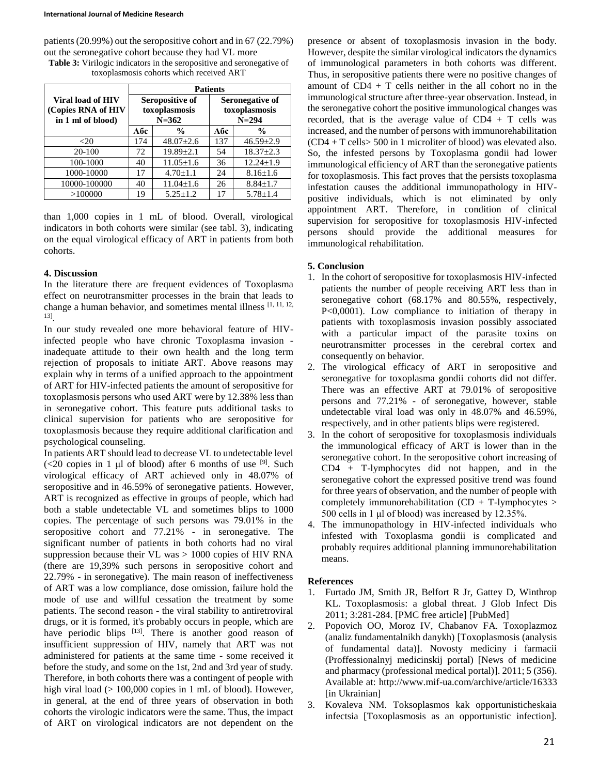patients (20.99%) out the seropositive cohort and in 67 (22.79%) out the seronegative cohort because they had VL more **Table 3:** Virilogic indicators in the seropositive and seronegative of toxoplasmosis cohorts which received ART

|                                                              | <b>Patients</b>                               |                 |                                               |                 |  |
|--------------------------------------------------------------|-----------------------------------------------|-----------------|-----------------------------------------------|-----------------|--|
| Viral load of HIV<br>(Copies RNA of HIV<br>in 1 ml of blood) | Seropositive of<br>toxoplasmosis<br>$N = 362$ |                 | Seronegative of<br>toxoplasmosis<br>$N = 294$ |                 |  |
|                                                              | Абс                                           | $\frac{0}{0}$   | Абс                                           | $\frac{0}{0}$   |  |
| $<$ 20                                                       | 174                                           | $48.07 \pm 2.6$ | 137                                           | $46.59 \pm 2.9$ |  |
| 20-100                                                       | 72                                            | $19.89 \pm 2.1$ | 54                                            | $18.37 \pm 2.3$ |  |
| 100-1000                                                     | 40                                            | $11.05 \pm 1.6$ | 36                                            | $12.24 \pm 1.9$ |  |
| 1000-10000                                                   | 17                                            | $4.70 \pm 1.1$  | 24                                            | $8.16 \pm 1.6$  |  |
| 10000-100000                                                 | 40                                            | $11.04 \pm 1.6$ | 26                                            | $8.84 \pm 1.7$  |  |
| >100000                                                      | 19                                            | $5.25 \pm 1.2$  | 17                                            | $5.78 \pm 1.4$  |  |

than 1,000 copies in 1 mL of blood. Overall, virological indicators in both cohorts were similar (see tabl. 3), indicating on the equal virological efficacy of ART in patients from both cohorts.

## **4. Discussion**

In the literature there are frequent evidences of Toxoplasma effect on neurotransmitter processes in the brain that leads to change a human behavior, and sometimes mental illness  $[1, 11, 12, 12]$ 13] .

In our study revealed one more behavioral feature of HIVinfected people who have chronic Toxoplasma invasion inadequate attitude to their own health and the long term rejection of proposals to initiate ART. Above reasons may explain why in terms of a unified approach to the appointment of ART for HIV-infected patients the amount of seropositive for toxoplasmosis persons who used ART were by 12.38% less than in seronegative cohort. This feature puts additional tasks to clinical supervision for patients who are seropositive for toxoplasmosis because they require additional clarification and psychological counseling.

In patients ART should lead to decrease VL to undetectable level  $\left($  <20 copies in 1 µl of blood) after 6 months of use  $\left[$ <sup>9</sup>. Such virological efficacy of ART achieved only in 48.07% of seropositive and in 46.59% of seronegative patients. However, ART is recognized as effective in groups of people, which had both a stable undetectable VL and sometimes blips to 1000 copies. The percentage of such persons was 79.01% in the seropositive cohort and 77.21% - in seronegative. The significant number of patients in both cohorts had no viral suppression because their VL was > 1000 copies of HIV RNA (there are 19,39% such persons in seropositive cohort and 22.79% - in seronegative). The main reason of ineffectiveness of ART was a low compliance, dose omission, failure hold the mode of use and willful cessation the treatment by some patients. The second reason - the viral stability to antiretroviral drugs, or it is formed, it's probably occurs in people, which are have periodic blips <sup>[13]</sup>. There is another good reason of insufficient suppression of HIV, namely that ART was not administered for patients at the same time - some received it before the study, and some on the 1st, 2nd and 3rd year of study. Therefore, in both cohorts there was a contingent of people with high viral load  $(> 100,000$  copies in 1 mL of blood). However, in general, at the end of three years of observation in both cohorts the virologic indicators were the same. Thus, the impact of ART on virological indicators are not dependent on the

presence or absent of toxoplasmosis invasion in the body. However, despite the similar virological indicators the dynamics of immunological parameters in both cohorts was different. Thus, in seropositive patients there were no positive changes of amount of CD4 + T cells neither in the all cohort no in the immunological structure after three-year observation. Instead, in the seronegative cohort the positive immunological changes was recorded, that is the average value of  $CD4 + T$  cells was increased, and the number of persons with immunorehabilitation (CD4 + T cells> 500 in 1 microliter of blood) was elevated also. So, the infested persons by Toxoplasma gondii had lower immunological efficiency of ART than the seronegative patients for toxoplasmosis. This fact proves that the persists toxoplasma infestation causes the additional immunopathology in HIVpositive individuals, which is not eliminated by only appointment ART. Therefore, in condition of clinical supervision for seropositive for toxoplasmosis HIV-infected persons should provide the additional measures for immunological rehabilitation.

## **5. Conclusion**

- 1. In the cohort of seropositive for toxoplasmosis HIV-infected patients the number of people receiving ART less than in seronegative cohort (68.17% and 80.55%, respectively, P<0,0001). Low compliance to initiation of therapy in patients with toxoplasmosis invasion possibly associated with a particular impact of the parasite toxins on neurotransmitter processes in the cerebral cortex and consequently on behavior.
- 2. The virological efficacy of ART in seropositive and seronegative for toxoplasma gondii cohorts did not differ. There was an effective ART at 79.01% of seropositive persons and 77.21% - of seronegative, however, stable undetectable viral load was only in 48.07% and 46.59%, respectively, and in other patients blips were registered.
- 3. In the cohort of seropositive for toxoplasmosis individuals the immunological efficacy of ART is lower than in the seronegative cohort. In the seropositive cohort increasing of CD4 + T-lymphocytes did not happen, and in the seronegative cohort the expressed positive trend was found for three years of observation, and the number of people with completely immunorehabilitation  $(CD + T-1$ ymphocytes > 500 cells in 1 μl of blood) was increased by 12.35%.
- 4. The immunopathology in HIV-infected individuals who infested with Toxoplasma gondii is complicated and probably requires additional planning immunorehabilitation means.

## **References**

- 1. Furtado JM, Smith JR, Belfort R Jr, Gattey D, Winthrop KL. Toxoplasmosis: a global threat. J Glob Infect Dis 2011; 3:281-284. [PMC free article] [PubMed]
- 2. Popovich OO, Moroz IV, Chabanov FA. Toxoplazmoz (analiz fundamentalnikh danykh) [Toxoplasmosis (analysis of fundamental data)]. Novosty mediciny i farmacii (Proffessionalnyj medicinskij portal) [News of medicine and pharmacy (professional medical portal)]. 2011; 5 (356). Available at: http://www.mif-ua.com/archive/article/16333 [in Ukrainian]
- 3. Kovaleva NM. Toksoplasmos kak opportunisticheskaia infectsia [Toxoplasmosis as an opportunistic infection].